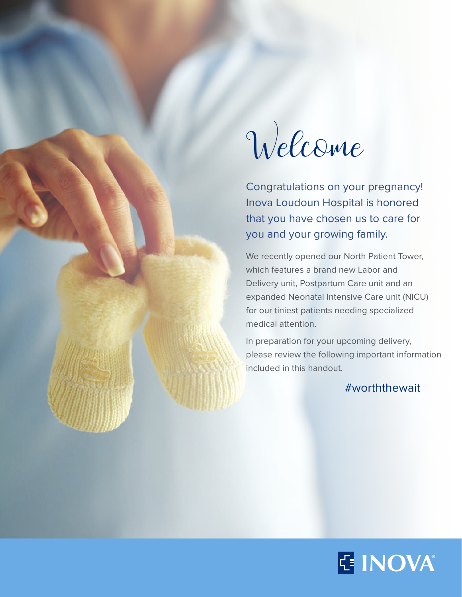

Congratulations on your pregnancy! Inova Loudoun Hospital is honored that you have chosen us to care for you and your growing family.

We recently opened our North Patient Tower, which features a brand new Labor and Delivery unit, Postpartum Care unit and an expanded Neonatal Intensive Care unit (NICU) for our tiniest patients needing specialized medical attention.

In preparation for your upcoming delivery, please review the following important information included in this handout.

#worththewait

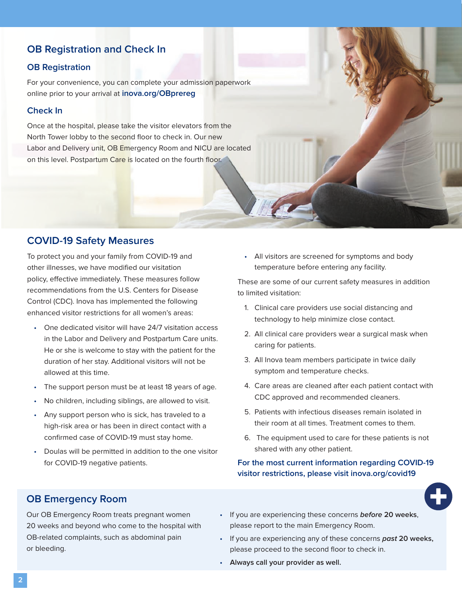# **OB Registration and Check In**

### **OB Registration**

For your convenience, you can complete your admission paperwork online prior to your arrival at **inova.org/OBprereg**

#### **Check In**

Once at the hospital, please take the visitor elevators from the North Tower lobby to the second floor to check in. Our new Labor and Delivery unit, OB Emergency Room and NICU are located on this level. Postpartum Care is located on the fourth floor.

## **COVID-19 Safety Measures**

To protect you and your family from COVID-19 and other illnesses, we have modified our visitation policy, effective immediately. These measures follow recommendations from the U.S. Centers for Disease Control (CDC). Inova has implemented the following enhanced visitor restrictions for all women's areas:

- One dedicated visitor will have 24/7 visitation access in the Labor and Delivery and Postpartum Care units. He or she is welcome to stay with the patient for the duration of her stay. Additional visitors will not be allowed at this time.
- The support person must be at least 18 years of age.
- No children, including siblings, are allowed to visit.
- Any support person who is sick, has traveled to a high-risk area or has been in direct contact with a confirmed case of COVID-19 must stay home.
- Doulas will be permitted in addition to the one visitor for COVID-19 negative patients.

• All visitors are screened for symptoms and body temperature before entering any facility.

These are some of our current safety measures in addition to limited visitation:

- 1. Clinical care providers use social distancing and technology to help minimize close contact.
- 2. All clinical care providers wear a surgical mask when caring for patients.
- 3. All Inova team members participate in twice daily symptom and temperature checks.
- 4. Care areas are cleaned after each patient contact with CDC approved and recommended cleaners.
- 5. Patients with infectious diseases remain isolated in their room at all times. Treatment comes to them.
- 6. The equipment used to care for these patients is not shared with any other patient.

#### **For the most current information regarding COVID-19 visitor restrictions, please visit inova.org/covid19**



# **OB Emergency Room**

Our OB Emergency Room treats pregnant women 20 weeks and beyond who come to the hospital with OB-related complaints, such as abdominal pain or bleeding.

- If you are experiencing these concerns **before 20 weeks**, please report to the main Emergency Room.
- If you are experiencing any of these concerns **past 20 weeks,**  please proceed to the second floor to check in.
- **Always call your provider as well.**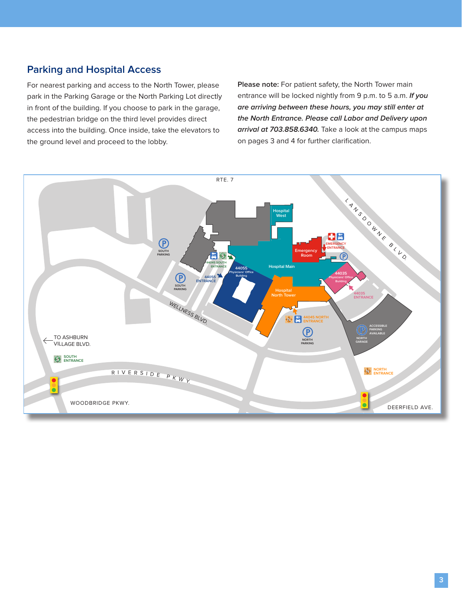# **Parking and Hospital Access**

For nearest parking and access to the North Tower, please park in the Parking Garage or the North Parking Lot directly in front of the building. If you choose to park in the garage, the pedestrian bridge on the third level provides direct access into the building. Once inside, take the elevators to the ground level and proceed to the lobby.

**Please note:** For patient safety, the North Tower main entrance will be locked nightly from 9 p.m. to 5 a.m. **If you are arriving between these hours, you may still enter at the North Entrance. Please call Labor and Delivery upon arrival at 703.858.6340.** Take a look at the campus maps on pages 3 and 4 for further clarification.

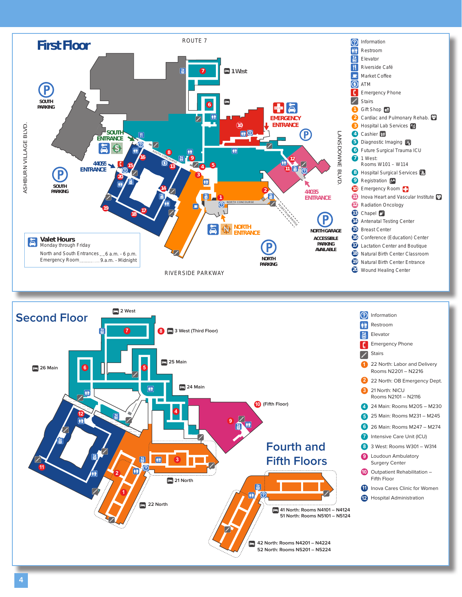

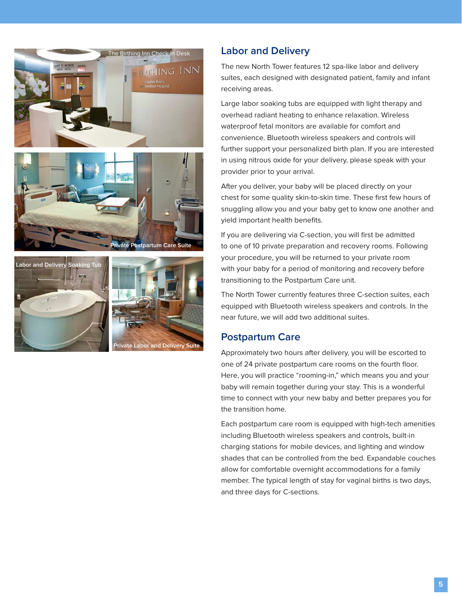





# **Labor and Delivery**

The new North Tower features 12 spa-like labor and delivery suites, each designed with designated patient, family and infant receiving areas.

Large labor soaking tubs are equipped with light therapy and overhead radiant heating to enhance relaxation. Wireless waterproof fetal monitors are available for comfort and convenience. Bluetooth wireless speakers and controls will further support your personalized birth plan. If you are interested in using nitrous oxide for your delivery, please speak with your provider prior to your arrival.

After you deliver, your baby will be placed directly on your chest for some quality skin-to-skin time. These first few hours of snuggling allow you and your baby get to know one another and yield important health benefits.

If you are delivering via C-section, you will first be admitted to one of 10 private preparation and recovery rooms. Following your procedure, you will be returned to your private room with your baby for a period of monitoring and recovery before transitioning to the Postpartum Care unit.

The North Tower currently features three C-section suites, each equipped with Bluetooth wireless speakers and controls. In the near future, we will add two additional suites.

# **Postpartum Care**

Approximately two hours after delivery, you will be escorted to one of 24 private postpartum care rooms on the fourth floor. Here, you will practice "rooming-in," which means you and your baby will remain together during your stay. This is a wonderful time to connect with your new baby and better prepares you for the transition home.

Each postpartum care room is equipped with high-tech amenities including Bluetooth wireless speakers and controls, built-in charging stations for mobile devices, and lighting and window shades that can be controlled from the bed. Expandable couches allow for comfortable overnight accommodations for a family member. The typical length of stay for vaginal births is two days, and three days for C-sections.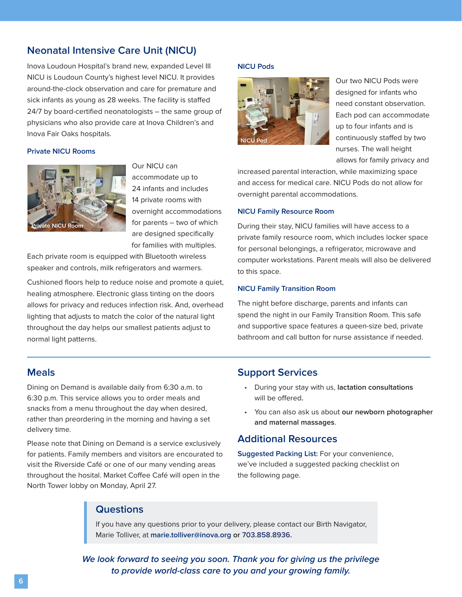# **Neonatal Intensive Care Unit (NICU)**

Inova Loudoun Hospital's brand new, expanded Level III NICU is Loudoun County's highest level NICU. It provides around-the-clock observation and care for premature and sick infants as young as 28 weeks. The facility is staffed 24/7 by board-certified neonatologists – the same group of physicians who also provide care at Inova Children's and Inova Fair Oaks hospitals.

#### **Private NICU Rooms**



Our NICU can accommodate up to 24 infants and includes 14 private rooms with overnight accommodations for parents – two of which are designed specifically for families with multiples.

Each private room is equipped with Bluetooth wireless speaker and controls, milk refrigerators and warmers.

Cushioned floors help to reduce noise and promote a quiet, healing atmosphere. Electronic glass tinting on the doors allows for privacy and reduces infection risk. And, overhead lighting that adjusts to match the color of the natural light throughout the day helps our smallest patients adjust to normal light patterns.

## **Meals**

Dining on Demand is available daily from 6:30 a.m. to 6:30 p.m. This service allows you to order meals and snacks from a menu throughout the day when desired, rather than preordering in the morning and having a set delivery time.

Please note that Dining on Demand is a service exclusively for patients. Family members and visitors are encourated to visit the Riverside Café or one of our many vending areas throughout the hosital. Market Coffee Café will open in the North Tower lobby on Monday, April 27.

#### **NICU Pods**



Our two NICU Pods were designed for infants who need constant observation. Each pod can accommodate up to four infants and is continuously staffed by two nurses. The wall height allows for family privacy and

increased parental interaction, while maximizing space and access for medical care. NICU Pods do not allow for overnight parental accommodations.

#### **NICU Family Resource Room**

During their stay, NICU families will have access to a private family resource room, which includes locker space for personal belongings, a refrigerator, microwave and computer workstations. Parent meals will also be delivered to this space.

#### **NICU Family Transition Room**

The night before discharge, parents and infants can spend the night in our Family Transition Room. This safe and supportive space features a queen-size bed, private bathroom and call button for nurse assistance if needed.

### **Support Services**

- During your stay with us, **lactation consultations**  will be offered**.**
- You can also ask us about **our newborn photographer and maternal massages**.

## **Additional Resources**

**Suggested Packing List:** For your convenience, we've included a suggested packing checklist on the following page.

## **Questions**

If you have any questions prior to your delivery, please contact our Birth Navigator, Marie Tolliver, at **marie.tolliver@inova.org or 703.858.8936.** 

**We look forward to seeing you soon. Thank you for giving us the privilege to provide world-class care to you and your growing family.**